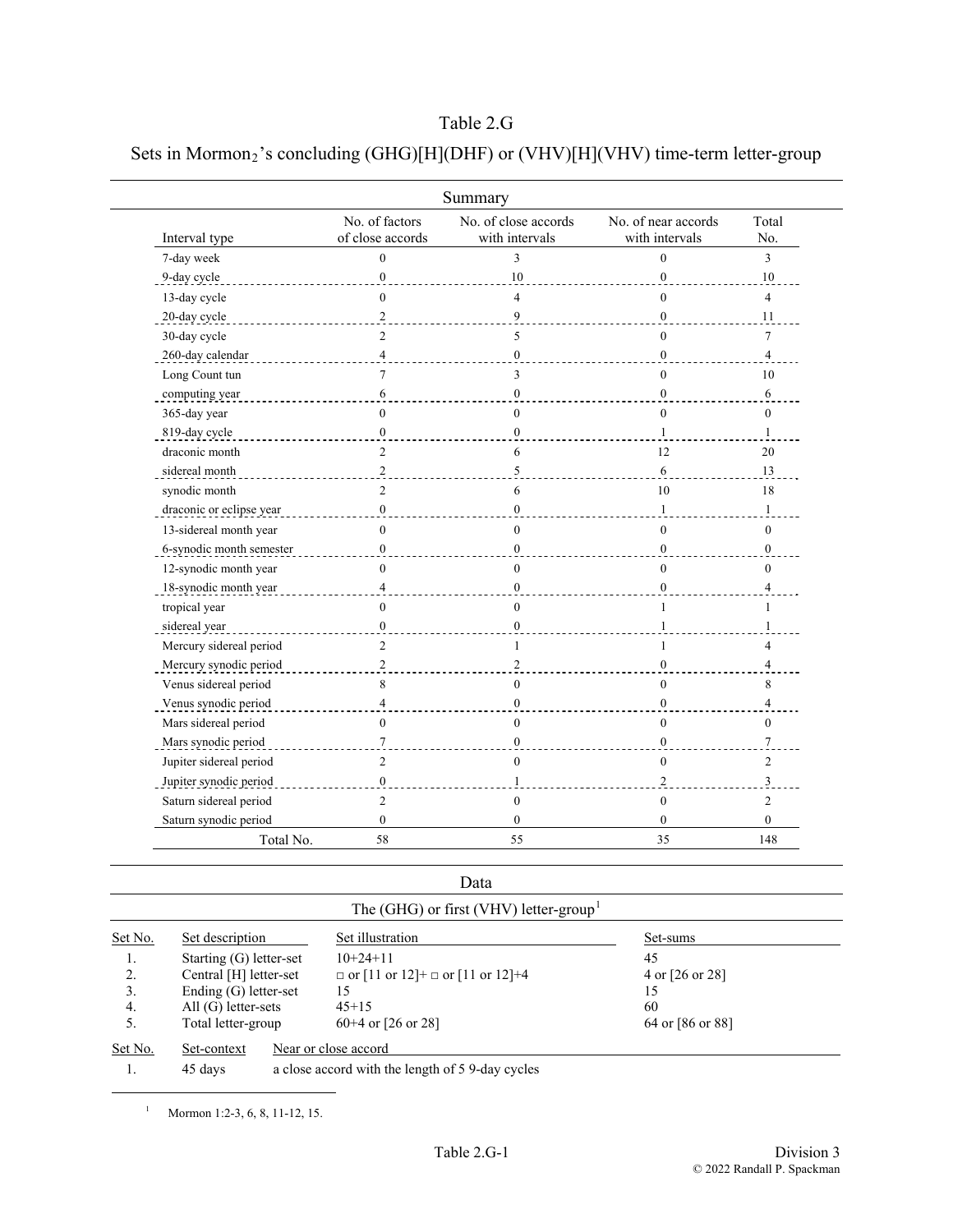## Sets in Mormon<sub>2</sub>'s concluding (GHG)[H](DHF) or (VHV)[H](VHV) time-term letter-group

|                          |                                    | Summary                                |                                       |                  |
|--------------------------|------------------------------------|----------------------------------------|---------------------------------------|------------------|
| Interval type            | No. of factors<br>of close accords | No. of close accords<br>with intervals | No. of near accords<br>with intervals | Total<br>No.     |
| 7-day week               | $\mathbf{0}$                       | 3                                      | $\theta$                              | 3                |
| 9-day cycle              | $\boldsymbol{0}$                   | $10\,$                                 | $\overline{0}$                        | 10               |
| 13-day cycle             | $\theta$                           | $\overline{A}$                         | $\theta$                              | $\overline{4}$   |
| 20-day cycle             | $\overline{c}$                     | 9                                      | $\theta$                              | 11               |
| 30-day cycle             | $\overline{c}$                     | 5                                      | $\theta$                              | 7                |
| 260-day calendar         | $\overline{4}$                     | $\theta$                               | $\theta$                              | 4                |
| Long Count tun           | 7                                  | 3                                      | $\theta$                              | 10               |
| computing year           | 6                                  | $\mathbf{0}$                           | $\mathbf{0}$                          | 6                |
| 365-day year             | $\mathbf{0}$                       | $\mathbf{0}$                           | $\overline{0}$                        | $\mathbf{0}$     |
| 819-day cycle            | $\mathbf{0}$                       | $\theta$                               | 1                                     | $\mathbf{1}$     |
| draconic month           | $\overline{2}$                     | 6                                      | 12                                    | 20               |
| sidereal month           | 2                                  | 5                                      | 6                                     | 13               |
| synodic month            | $\overline{c}$                     | 6                                      | 10                                    | 18               |
| draconic or eclipse year | $\boldsymbol{0}$                   | $\mathbf{0}$                           | 1                                     | $\mathbf{1}$     |
| 13-sidereal month year   | $\theta$                           | $\theta$                               | $\theta$                              | $\theta$         |
| 6-synodic month semester | $\mathbf{0}$                       | $\theta$                               | $\theta$                              | $\overline{0}$   |
| 12-synodic month year    | $\theta$                           | $\theta$                               | $\theta$                              | $\theta$         |
| 18-synodic month year    | $\overline{4}$                     | $\mathbf{0}$                           | $\theta$                              | 4                |
| tropical year            | $\theta$                           | $\theta$                               | 1                                     | 1                |
| sidereal year            | $\mathbf{0}$                       | $\theta$                               | 1                                     | 1                |
| Mercury sidereal period  | $\overline{2}$                     | 1                                      | 1                                     | 4                |
| Mercury synodic period   | $\overline{c}$                     | $\mathfrak{D}$                         | $\Omega$                              | $\overline{4}$   |
| Venus sidereal period    | 8                                  | $\mathbf{0}$                           | $\mathbf{0}$                          | 8                |
| Venus synodic period     | $\overline{4}$                     | $\mathbf{0}$                           | $\mathbf{0}$                          | 4                |
| Mars sidereal period     | $\theta$                           | $\theta$                               | $\overline{0}$                        | $\theta$         |
| Mars synodic period      | $\tau$                             | $\overline{0}$                         | $\theta$                              | $\boldsymbol{7}$ |
| Jupiter sidereal period  | $\overline{2}$                     | $\theta$                               | $\theta$                              | $\overline{2}$   |
| Jupiter synodic period   | $\boldsymbol{0}$                   | $\mathbf{1}$                           | $\overline{2}$                        | 3                |
| Saturn sidereal period   | $\overline{2}$                     | $\theta$                               | $\mathbf{0}$                          | $\overline{2}$   |
| Saturn synodic period    | $\mathbf{0}$                       | $\mathbf{0}$                           | 0                                     | $\mathbf{0}$     |
| Total No.                | 58                                 | 55                                     | 35                                    | 148              |

## Data

| Set No. | Set description         | Set illustration                             | Set-sums         |
|---------|-------------------------|----------------------------------------------|------------------|
| 1.      | Starting (G) letter-set | $10+24+11$                                   | 45               |
| 2.      | Central [H] letter-set  | $\Box$ or [11 or 12]+ $\Box$ or [11 or 12]+4 | 4 or [26 or 28]  |
| 3.      | Ending $(G)$ letter-set | 15                                           | 15               |
| 4.      | $All(G)$ letter-sets    | $45+15$                                      | 60               |
|         | Total letter-group      | $60+4$ or [26 or 28]                         | 64 or [86 or 88] |

1. 45 days a close accord with the length of 5 9-day cycles

<span id="page-0-0"></span> <sup>1</sup> Mormon 1:2-3, 6, 8, 11-12, 15.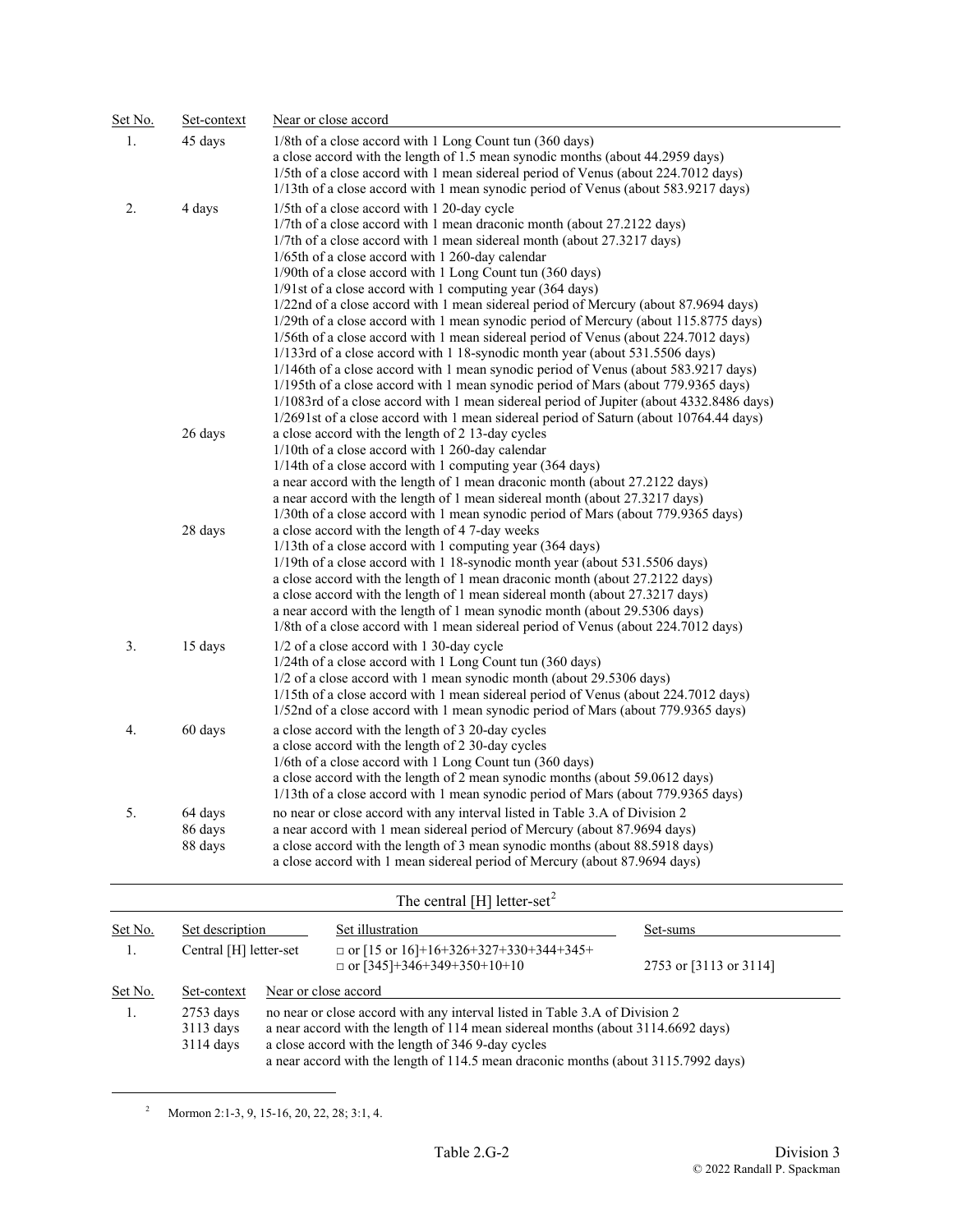| Set No. | Set-context                   | Near or close accord                                                                                                                                                                                                                                                                                                                                                                                                                                                                                                                                                                                                                                                                                                                                                                                                                                                                                                                                                                                                                                                                                      |
|---------|-------------------------------|-----------------------------------------------------------------------------------------------------------------------------------------------------------------------------------------------------------------------------------------------------------------------------------------------------------------------------------------------------------------------------------------------------------------------------------------------------------------------------------------------------------------------------------------------------------------------------------------------------------------------------------------------------------------------------------------------------------------------------------------------------------------------------------------------------------------------------------------------------------------------------------------------------------------------------------------------------------------------------------------------------------------------------------------------------------------------------------------------------------|
| 1.      | 45 days                       | 1/8th of a close accord with 1 Long Count tun (360 days)<br>a close accord with the length of 1.5 mean synodic months (about 44.2959 days)<br>1/5th of a close accord with 1 mean sidereal period of Venus (about 224.7012 days)<br>1/13th of a close accord with 1 mean synodic period of Venus (about 583.9217 days)                                                                                                                                                                                                                                                                                                                                                                                                                                                                                                                                                                                                                                                                                                                                                                                    |
| 2.      | 4 days                        | 1/5th of a close accord with 1 20-day cycle<br>1/7th of a close accord with 1 mean draconic month (about 27.2122 days)<br>1/7th of a close accord with 1 mean sidereal month (about 27.3217 days)<br>1/65th of a close accord with 1 260-day calendar<br>1/90th of a close accord with 1 Long Count tun (360 days)<br>1/91st of a close accord with 1 computing year (364 days)<br>1/22nd of a close accord with 1 mean sidereal period of Mercury (about 87.9694 days)<br>1/29th of a close accord with 1 mean synodic period of Mercury (about 115.8775 days)<br>1/56th of a close accord with 1 mean sidereal period of Venus (about 224.7012 days)<br>1/133rd of a close accord with 1 18-synodic month year (about 531.5506 days)<br>1/146th of a close accord with 1 mean synodic period of Venus (about 583.9217 days)<br>1/195th of a close accord with 1 mean synodic period of Mars (about 779.9365 days)<br>1/1083rd of a close accord with 1 mean sidereal period of Jupiter (about 4332.8486 days)<br>1/2691st of a close accord with 1 mean sidereal period of Saturn (about 10764.44 days) |
|         | 26 days                       | a close accord with the length of 2 13-day cycles<br>1/10th of a close accord with 1 260-day calendar<br>1/14th of a close accord with 1 computing year (364 days)<br>a near accord with the length of 1 mean draconic month (about 27.2122 days)<br>a near accord with the length of 1 mean sidereal month (about 27.3217 days)<br>1/30th of a close accord with 1 mean synodic period of Mars (about 779.9365 days)                                                                                                                                                                                                                                                                                                                                                                                                                                                                                                                                                                                                                                                                                     |
|         | 28 days                       | a close accord with the length of 4 7-day weeks<br>1/13th of a close accord with 1 computing year (364 days)<br>1/19th of a close accord with 1 18-synodic month year (about 531.5506 days)<br>a close accord with the length of 1 mean draconic month (about 27.2122 days)<br>a close accord with the length of 1 mean sidereal month (about 27.3217 days)<br>a near accord with the length of 1 mean synodic month (about 29.5306 days)<br>1/8th of a close accord with 1 mean sidereal period of Venus (about 224.7012 days)                                                                                                                                                                                                                                                                                                                                                                                                                                                                                                                                                                           |
| 3.      | 15 days                       | 1/2 of a close accord with 1 30-day cycle<br>1/24th of a close accord with 1 Long Count tun (360 days)<br>1/2 of a close accord with 1 mean synodic month (about 29.5306 days)<br>1/15th of a close accord with 1 mean sidereal period of Venus (about 224.7012 days)<br>1/52nd of a close accord with 1 mean synodic period of Mars (about 779.9365 days)                                                                                                                                                                                                                                                                                                                                                                                                                                                                                                                                                                                                                                                                                                                                                |
| 4.      | 60 days                       | a close accord with the length of 3 20-day cycles<br>a close accord with the length of 2 30-day cycles<br>1/6th of a close accord with 1 Long Count tun (360 days)<br>a close accord with the length of 2 mean synodic months (about 59.0612 days)<br>1/13th of a close accord with 1 mean synodic period of Mars (about 779.9365 days)                                                                                                                                                                                                                                                                                                                                                                                                                                                                                                                                                                                                                                                                                                                                                                   |
| 5.      | 64 days<br>86 days<br>88 days | no near or close accord with any interval listed in Table 3.A of Division 2<br>a near accord with 1 mean sidereal period of Mercury (about 87.9694 days)<br>a close accord with the length of 3 mean synodic months (about 88.5918 days)<br>a close accord with 1 mean sidereal period of Mercury (about 87.9694 days)                                                                                                                                                                                                                                                                                                                                                                                                                                                                                                                                                                                                                                                                                                                                                                                    |

## The central [H] letter-set<sup>[2](#page-1-0)</sup>

| Set No. | Set description<br>Central [H] letter-set |                                                                                                                                                                                                                                                                                                             | Set illustration                                                                  | Set-sums<br>2753 or [3113 or 3114] |  |
|---------|-------------------------------------------|-------------------------------------------------------------------------------------------------------------------------------------------------------------------------------------------------------------------------------------------------------------------------------------------------------------|-----------------------------------------------------------------------------------|------------------------------------|--|
|         |                                           |                                                                                                                                                                                                                                                                                                             | $\Box$ or [15 or 16]+16+326+327+330+344+345+<br>$\Box$ or [345]+346+349+350+10+10 |                                    |  |
| Set No. | Set-context                               | Near or close accord                                                                                                                                                                                                                                                                                        |                                                                                   |                                    |  |
|         | $2753$ days<br>$3113$ days<br>$3114$ days | no near or close accord with any interval listed in Table 3.A of Division 2<br>a near accord with the length of 114 mean sidereal months (about 3114.6692 days)<br>a close accord with the length of 346 9-day cycles<br>a near accord with the length of 114.5 mean draconic months (about 3115.7992 days) |                                                                                   |                                    |  |

<sup>&</sup>lt;sup>2</sup> Mormon 2:1-3, 9, 15-16, 20, 22, 28; 3:1, 4.

<span id="page-1-0"></span>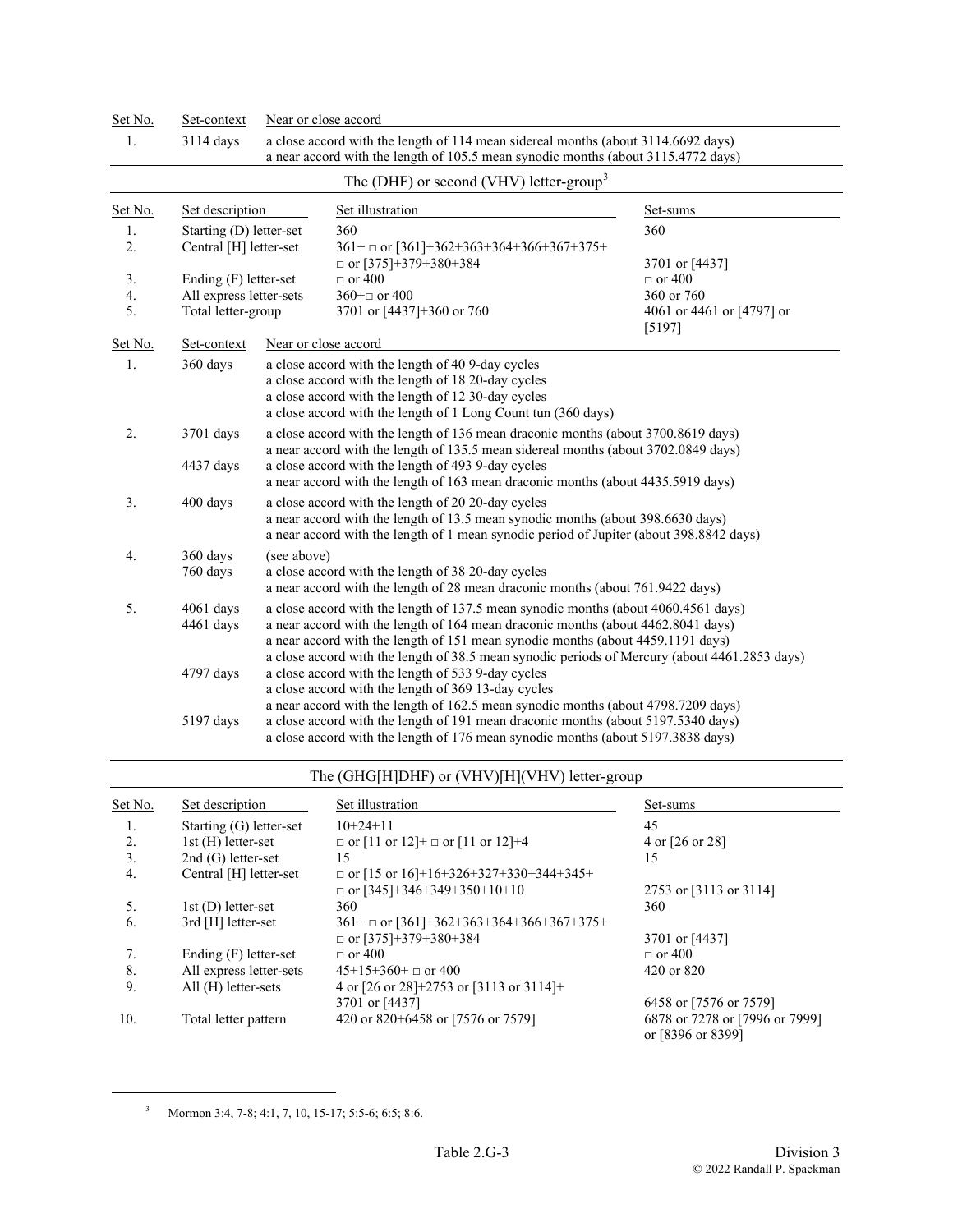| Set No.  | Set-context                                                                                                                                                                                                                                                                                                                                                                            | Near or close accord                                                                                                                                                                                                                                                                                              |                                                                                                                                                                        |                                     |
|----------|----------------------------------------------------------------------------------------------------------------------------------------------------------------------------------------------------------------------------------------------------------------------------------------------------------------------------------------------------------------------------------------|-------------------------------------------------------------------------------------------------------------------------------------------------------------------------------------------------------------------------------------------------------------------------------------------------------------------|------------------------------------------------------------------------------------------------------------------------------------------------------------------------|-------------------------------------|
| 1.       | 3114 days                                                                                                                                                                                                                                                                                                                                                                              |                                                                                                                                                                                                                                                                                                                   | a close accord with the length of 114 mean sidereal months (about 3114.6692 days)<br>a near accord with the length of 105.5 mean synodic months (about 3115.4772 days) |                                     |
|          |                                                                                                                                                                                                                                                                                                                                                                                        |                                                                                                                                                                                                                                                                                                                   | The (DHF) or second (VHV) letter-group <sup>3</sup>                                                                                                                    |                                     |
| Set No.  | Set description                                                                                                                                                                                                                                                                                                                                                                        |                                                                                                                                                                                                                                                                                                                   | Set illustration                                                                                                                                                       | Set-sums                            |
| 1.<br>2. | Starting (D) letter-set<br>Central [H] letter-set                                                                                                                                                                                                                                                                                                                                      |                                                                                                                                                                                                                                                                                                                   | 360<br>$361 + \square$ or [361]+362+363+364+366+367+375+<br>$\Box$ or [375]+379+380+384                                                                                | 360<br>3701 or [4437]               |
| 3.       | Ending (F) letter-set                                                                                                                                                                                                                                                                                                                                                                  |                                                                                                                                                                                                                                                                                                                   | $\Box$ or 400                                                                                                                                                          | $\Box$ or 400                       |
| 4.       | All express letter-sets                                                                                                                                                                                                                                                                                                                                                                |                                                                                                                                                                                                                                                                                                                   | $360 + \square$ or 400                                                                                                                                                 | 360 or 760                          |
| 5.       | Total letter-group                                                                                                                                                                                                                                                                                                                                                                     |                                                                                                                                                                                                                                                                                                                   | 3701 or [4437]+360 or 760                                                                                                                                              | 4061 or 4461 or [4797] or<br>[5197] |
| Set No.  | Set-context                                                                                                                                                                                                                                                                                                                                                                            |                                                                                                                                                                                                                                                                                                                   | Near or close accord                                                                                                                                                   |                                     |
| 1.       | 360 days                                                                                                                                                                                                                                                                                                                                                                               | a close accord with the length of 40 9-day cycles<br>a close accord with the length of 18 20-day cycles<br>a close accord with the length of 12 30-day cycles<br>a close accord with the length of 1 Long Count tun (360 days)                                                                                    |                                                                                                                                                                        |                                     |
| 2.       | 3701 days<br>4437 days                                                                                                                                                                                                                                                                                                                                                                 | a close accord with the length of 136 mean draconic months (about 3700.8619 days)<br>a near accord with the length of 135.5 mean sidereal months (about 3702.0849 days)<br>a close accord with the length of 493 9-day cycles<br>a near accord with the length of 163 mean draconic months (about 4435.5919 days) |                                                                                                                                                                        |                                     |
| 3.       | 400 days                                                                                                                                                                                                                                                                                                                                                                               | a close accord with the length of 20 20-day cycles<br>a near accord with the length of 13.5 mean synodic months (about 398.6630 days)<br>a near accord with the length of 1 mean synodic period of Jupiter (about 398.8842 days)                                                                                  |                                                                                                                                                                        |                                     |
| 4.       | 360 days<br>760 days                                                                                                                                                                                                                                                                                                                                                                   | (see above)<br>a close accord with the length of 38 20-day cycles<br>a near accord with the length of 28 mean draconic months (about 761.9422 days)                                                                                                                                                               |                                                                                                                                                                        |                                     |
| 5.       | a close accord with the length of 137.5 mean synodic months (about 4060.4561 days)<br>$4061$ days<br>a near accord with the length of 164 mean draconic months (about 4462.8041 days)<br>4461 days<br>a near accord with the length of 151 mean synodic months (about 4459.1191 days)<br>a close accord with the length of 38.5 mean synodic periods of Mercury (about 4461.2853 days) |                                                                                                                                                                                                                                                                                                                   |                                                                                                                                                                        |                                     |
|          | 4797 days                                                                                                                                                                                                                                                                                                                                                                              | a close accord with the length of 533 9-day cycles<br>a close accord with the length of 369 13-day cycles<br>a near accord with the length of 162.5 mean synodic months (about 4798.7209 days)                                                                                                                    |                                                                                                                                                                        |                                     |
|          | 5197 days                                                                                                                                                                                                                                                                                                                                                                              |                                                                                                                                                                                                                                                                                                                   | a close accord with the length of 191 mean draconic months (about 5197.5340 days)<br>a close accord with the length of 176 mean synodic months (about 5197.3838 days)  |                                     |

## The (GHG[H]DHF) or (VHV)[H](VHV) letter-group

| Set No. | Set description         | Set illustration                                  | Set-sums                                            |
|---------|-------------------------|---------------------------------------------------|-----------------------------------------------------|
| 1.      | Starting (G) letter-set | $10+24+11$                                        | 45                                                  |
| 2.      | 1st (H) letter-set      | $\Box$ or [11 or 12]+ $\Box$ or [11 or 12]+4      | 4 or [26 or 28]                                     |
| 3.      | $2nd(G)$ letter-set     | 15                                                | 15                                                  |
| 4.      | Central [H] letter-set  | $\Box$ or [15 or 16]+16+326+327+330+344+345+      |                                                     |
|         |                         | $\Box$ or [345]+346+349+350+10+10                 | 2753 or [3113 or 3114]                              |
| 5.      | $1st(D)$ letter-set     | 360                                               | 360                                                 |
| 6.      | 3rd [H] letter-set      | $361 + \square$ or [361]+362+363+364+366+367+375+ |                                                     |
|         |                         | $\Box$ or [375]+379+380+384                       | 3701 or [4437]                                      |
| 7.      | Ending $(F)$ letter-set | $\Box$ or 400                                     | $\Box$ or 400                                       |
| 8.      | All express letter-sets | $45+15+360+$ or 400                               | $420 \text{ or } 820$                               |
| 9.      | All (H) letter-sets     | 4 or $[26$ or $28]+2753$ or $[3113$ or $3114]+$   |                                                     |
|         |                         | 3701 or [4437]                                    | 6458 or [7576 or 7579]                              |
| 10.     | Total letter pattern    | 420 or 820+6458 or [7576 or 7579]                 | 6878 or 7278 or [7996 or 7999]<br>or [8396 or 8399] |

 $3$  Mormon 3:4, 7-8; 4:1, 7, 10, 15-17; 5:5-6; 6:5; 8:6.

<span id="page-2-0"></span>